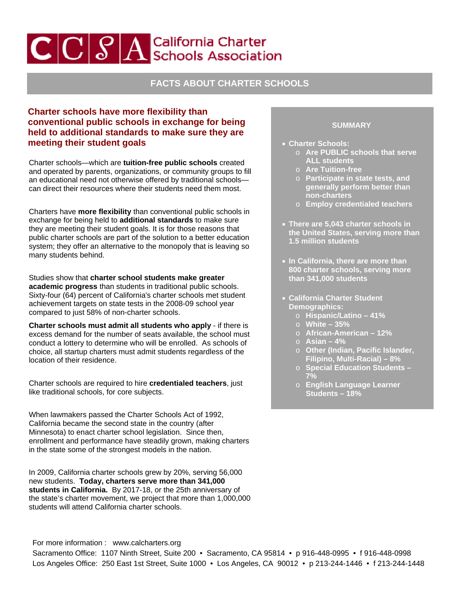# $\left| \mathbf{C} | \mathbf{C} | \mathcal{S} \right|$ A Schools Association

## **FACTS ABOUT CHARTER SCHOOLS**

### **Charter schools have more flexibility than conventional public schools in exchange for being held to additional standards to make sure they are meeting their student goals**

Charter schools—which are **tuition-free public schools** created and operated by parents, organizations, or community groups to fill an educational need not otherwise offered by traditional schools can direct their resources where their students need them most.

Charters have **more flexibility** than conventional public schools in exchange for being held to **additional standards** to make sure they are meeting their student goals. It is for those reasons that public charter schools are part of the solution to a better education system; they offer an alternative to the monopoly that is leaving so many students behind.

Studies show that **charter school students make greater academic progress** than students in traditional public schools. Sixty-four (64) percent of California's charter schools met student achievement targets on state tests in the 2008-09 school year compared to just 58% of non-charter schools.

**Charter schools must admit all students who apply** - if there is excess demand for the number of seats available, the school must conduct a lottery to determine who will be enrolled. As schools of choice, all startup charters must admit students regardless of the location of their residence.

Charter schools are required to hire **credentialed teachers**, just like traditional schools, for core subjects.

When lawmakers passed the Charter Schools Act of 1992, California became the second state in the country (after Minnesota) to enact charter school legislation. Since then, enrollment and performance have steadily grown, making charters in the state some of the strongest models in the nation.

In 2009, California charter schools grew by 20%, serving 56,000 new students. **Today, charters serve more than 341,000 students in California.** By 2017-18, or the 25th anniversary of the state's charter movement, we project that more than 1,000,000 students will attend California charter schools.

#### **SUMMARY**

- **Charter Schools:** 
	- o **Are PUBLIC schools that serve ALL students**
	- o **Are Tuition-free**
	- o **Participate in state tests, and generally perform better than non-charters**
	- o **Employ credentialed teachers**
- **There are 5,043 charter schools in the United States, serving more than 1.5 million students**
- **In California, there are more than 800 charter schools, serving more than 341,000 students**
- **California Charter Student Demographics:** 
	- o **Hispanic/Latino 41%**
	- o **White 35%**
	- o **African-American 12%**
	- o **Asian 4%**
	- o **Other (Indian, Pacific Islander, Filipino, Multi-Racial) – 8%**
	- o **Special Education Students 7%**
	- o **English Language Learner Students – 18%**

For more information : www.calcharters.org S acramento Office: 1107 Ninth Street, Suite 200 • Sacramento, CA 95814 • p 916-448-0995 • f 916-448-0998 L os Angeles Office: 250 East 1st Street, Suite 1000 • Los Angeles, CA 90012 • p 213-244-1446 • f 213-244-1448